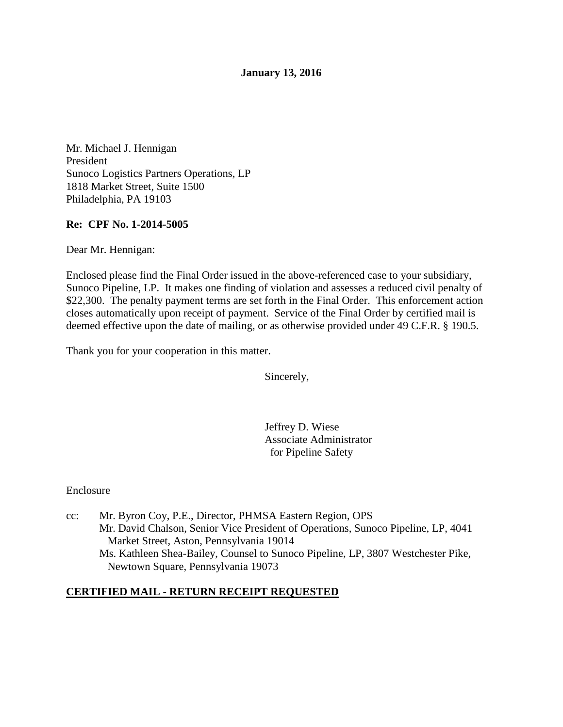## **January 13, 2016**

Mr. Michael J. Hennigan President Sunoco Logistics Partners Operations, LP 1818 Market Street, Suite 1500 Philadelphia, PA 19103

## **Re: CPF No. 1-2014-5005**

Dear Mr. Hennigan:

Enclosed please find the Final Order issued in the above-referenced case to your subsidiary, Sunoco Pipeline, LP. It makes one finding of violation and assesses a reduced civil penalty of \$22,300. The penalty payment terms are set forth in the Final Order. This enforcement action closes automatically upon receipt of payment. Service of the Final Order by certified mail is deemed effective upon the date of mailing, or as otherwise provided under 49 C.F.R. § 190.5.

Thank you for your cooperation in this matter.

Sincerely,

 Jeffrey D. Wiese Associate Administrator for Pipeline Safety

#### Enclosure

cc: Mr. Byron Coy, P.E., Director, PHMSA Eastern Region, OPS Mr. David Chalson, Senior Vice President of Operations, Sunoco Pipeline, LP, 4041 Market Street, Aston, Pennsylvania 19014 Ms. Kathleen Shea-Bailey, Counsel to Sunoco Pipeline, LP, 3807 Westchester Pike, Newtown Square, Pennsylvania 19073

## **CERTIFIED MAIL - RETURN RECEIPT REQUESTED**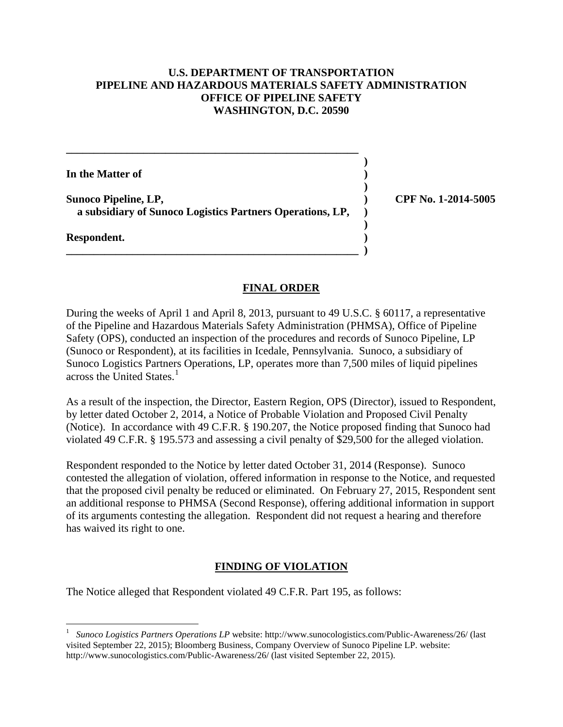# **U.S. DEPARTMENT OF TRANSPORTATION PIPELINE AND HAZARDOUS MATERIALS SAFETY ADMINISTRATION OFFICE OF PIPELINE SAFETY WASHINGTON, D.C. 20590**

 **) In the Matter of )** 

**Sunoco Pipeline, LP, ) CPF No. 1-2014-5005 a subsidiary of Sunoco Logistics Partners Operations, LP, )** 

 **)** 

 **)** 

**\_\_\_\_\_\_\_\_\_\_\_\_\_\_\_\_\_\_\_\_\_\_\_\_\_\_\_\_\_\_\_\_\_\_\_\_\_\_\_\_\_\_\_\_\_\_\_\_\_\_\_\_\_ )** 

**\_\_\_\_\_\_\_\_\_\_\_\_\_\_\_\_\_\_\_\_\_\_\_\_\_\_\_\_\_\_\_\_\_\_\_\_\_\_\_\_\_\_\_\_\_\_\_\_\_\_\_\_\_** 

**Respondent. )** 

# **FINAL ORDER**

During the weeks of April 1 and April 8, 2013, pursuant to 49 U.S.C. § 60117, a representative of the Pipeline and Hazardous Materials Safety Administration (PHMSA), Office of Pipeline Safety (OPS), conducted an inspection of the procedures and records of Sunoco Pipeline, LP (Sunoco or Respondent), at its facilities in Icedale, Pennsylvania. Sunoco, a subsidiary of Sunoco Logistics Partners Operations, LP, operates more than 7,500 miles of liquid pipelines across the United States.<sup>1</sup>

As a result of the inspection, the Director, Eastern Region, OPS (Director), issued to Respondent, by letter dated October 2, 2014, a Notice of Probable Violation and Proposed Civil Penalty (Notice). In accordance with 49 C.F.R. § 190.207, the Notice proposed finding that Sunoco had violated 49 C.F.R. § 195.573 and assessing a civil penalty of \$29,500 for the alleged violation.

Respondent responded to the Notice by letter dated October 31, 2014 (Response). Sunoco contested the allegation of violation, offered information in response to the Notice, and requested that the proposed civil penalty be reduced or eliminated. On February 27, 2015, Respondent sent an additional response to PHMSA (Second Response), offering additional information in support of its arguments contesting the allegation. Respondent did not request a hearing and therefore has waived its right to one.

# **FINDING OF VIOLATION**

The Notice alleged that Respondent violated 49 C.F.R. Part 195, as follows:

 $\overline{a}$ 1 *Sunoco Logistics Partners Operations LP* website: http://www.sunocologistics.com/Public-Awareness/26/ (last visited September 22, 2015); Bloomberg Business, Company Overview of Sunoco Pipeline LP. website: http://www.sunocologistics.com/Public-Awareness/26/ (last visited September 22, 2015).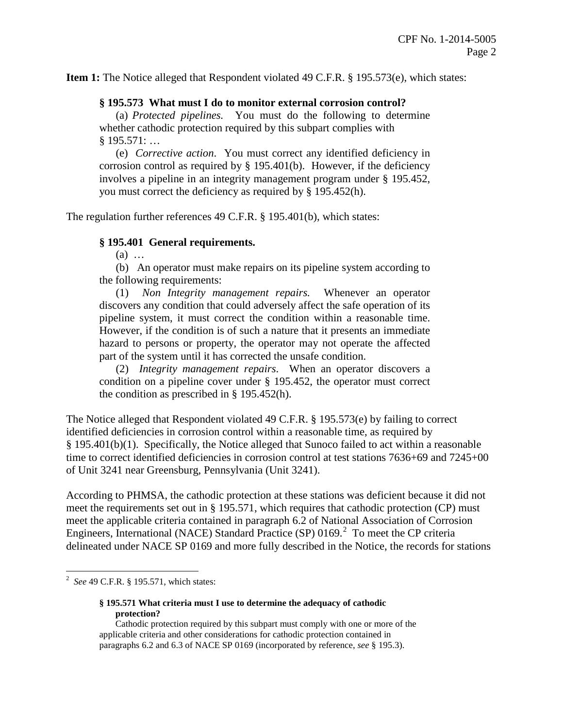**Item 1:** The Notice alleged that Respondent violated 49 C.F.R. § 195.573(e), which states:

### **§ 195.573 What must I do to monitor external corrosion control?**

(a) *Protected pipelines.* You must do the following to determine whether cathodic protection required by this subpart complies with § 195.571: …

(e) *Corrective action*. You must correct any identified deficiency in corrosion control as required by  $\S$  195.401(b). However, if the deficiency involves a pipeline in an integrity management program under § 195.452, you must correct the deficiency as required by § 195.452(h).

The regulation further references 49 C.F.R. § 195.401(b), which states:

### **§ 195.401 General requirements.**

(a) …

(b) An operator must make repairs on its pipeline system according to the following requirements:

(1) *Non Integrity management repairs.* Whenever an operator discovers any condition that could adversely affect the safe operation of its pipeline system, it must correct the condition within a reasonable time. However, if the condition is of such a nature that it presents an immediate hazard to persons or property, the operator may not operate the affected part of the system until it has corrected the unsafe condition.

(2) *Integrity management repairs*. When an operator discovers a condition on a pipeline cover under § 195.452, the operator must correct the condition as prescribed in § 195.452(h).

The Notice alleged that Respondent violated 49 C.F.R. § 195.573(e) by failing to correct identified deficiencies in corrosion control within a reasonable time, as required by § 195.401(b)(1). Specifically, the Notice alleged that Sunoco failed to act within a reasonable time to correct identified deficiencies in corrosion control at test stations 7636+69 and 7245+00 of Unit 3241 near Greensburg, Pennsylvania (Unit 3241).

According to PHMSA, the cathodic protection at these stations was deficient because it did not meet the requirements set out in § 195.571, which requires that cathodic protection (CP) must meet the applicable criteria contained in paragraph 6.2 of National Association of Corrosion Engineers, International (NACE) Standard Practice (SP) 0169. $^2$  To meet the CP criteria delineated under NACE SP 0169 and more fully described in the Notice, the records for stations

 2 *See* 49 C.F.R. § 195.571, which states:

**<sup>§ 195.571</sup> What criteria must I use to determine the adequacy of cathodic protection?**

Cathodic protection required by this subpart must comply with one or more of the applicable criteria and other considerations for cathodic protection contained in paragraphs 6.2 and 6.3 of NACE SP 0169 (incorporated by reference, *see* § 195.3).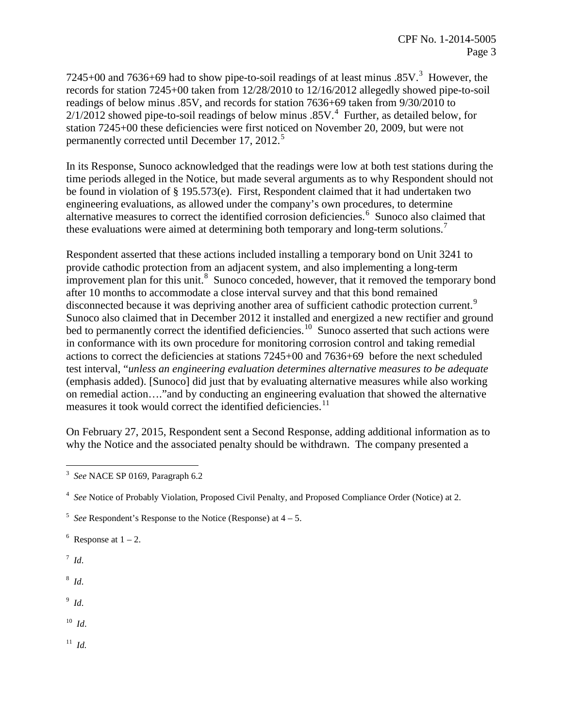7245+00 and 7636+69 had to show pipe-to-soil readings of at least minus  $.85V$ .<sup>3</sup> However, the records for station 7245+00 taken from 12/28/2010 to 12/16/2012 allegedly showed pipe-to-soil readings of below minus .85V, and records for station 7636+69 taken from 9/30/2010 to  $2/1/2012$  showed pipe-to-soil readings of below minus .85V.<sup>4</sup> Further, as detailed below, for station 7245+00 these deficiencies were first noticed on November 20, 2009, but were not permanently corrected until December 17, 2012.<sup>5</sup>

In its Response, Sunoco acknowledged that the readings were low at both test stations during the time periods alleged in the Notice, but made several arguments as to why Respondent should not be found in violation of § 195.573(e). First, Respondent claimed that it had undertaken two engineering evaluations, as allowed under the company's own procedures, to determine alternative measures to correct the identified corrosion deficiencies.<sup>6</sup> Sunoco also claimed that these evaluations were aimed at determining both temporary and long-term solutions.<sup>7</sup>

Respondent asserted that these actions included installing a temporary bond on Unit 3241 to provide cathodic protection from an adjacent system, and also implementing a long-term improvement plan for this unit.<sup>8</sup> Sunoco conceded, however, that it removed the temporary bond after 10 months to accommodate a close interval survey and that this bond remained disconnected because it was depriving another area of sufficient cathodic protection current.<sup>9</sup> Sunoco also claimed that in December 2012 it installed and energized a new rectifier and ground bed to permanently correct the identified deficiencies.<sup>10</sup> Sunoco asserted that such actions were in conformance with its own procedure for monitoring corrosion control and taking remedial actions to correct the deficiencies at stations 7245+00 and 7636+69 before the next scheduled test interval, "*unless an engineering evaluation determines alternative measures to be adequate*  (emphasis added). [Sunoco] did just that by evaluating alternative measures while also working on remedial action…."and by conducting an engineering evaluation that showed the alternative measures it took would correct the identified deficiencies.<sup>11</sup>

On February 27, 2015, Respondent sent a Second Response, adding additional information as to why the Notice and the associated penalty should be withdrawn. The company presented a

 $6$  Response at  $1 - 2$ .

7 *Id*.

<sup>8</sup> *Id*.

9 *Id*.

10 *Id*.

11 *Id.*

 3 *See* NACE SP 0169, Paragraph 6.2

<sup>&</sup>lt;sup>4</sup> See Notice of Probably Violation, Proposed Civil Penalty, and Proposed Compliance Order (Notice) at 2.

 $5$  *See* Respondent's Response to the Notice (Response) at  $4 - 5$ .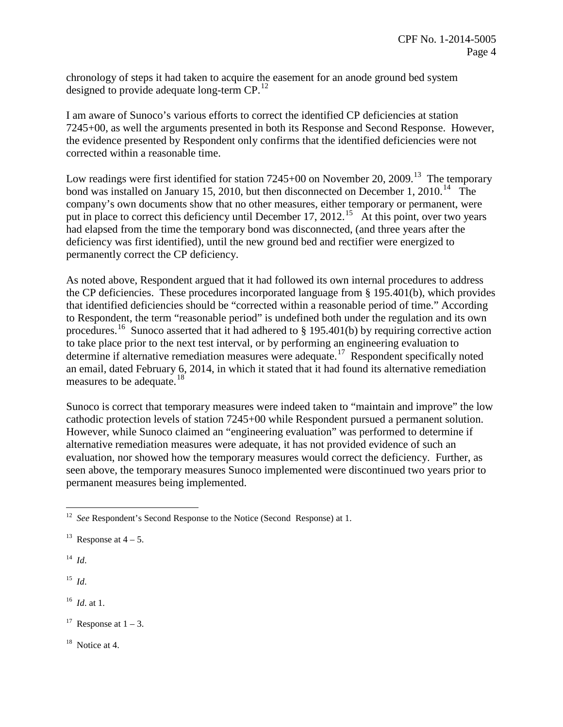chronology of steps it had taken to acquire the easement for an anode ground bed system designed to provide adequate long-term CP.<sup>12</sup>

I am aware of Sunoco's various efforts to correct the identified CP deficiencies at station 7245+00, as well the arguments presented in both its Response and Second Response. However, the evidence presented by Respondent only confirms that the identified deficiencies were not corrected within a reasonable time.

Low readings were first identified for station  $7245+00$  on November 20, 2009.<sup>13</sup> The temporary bond was installed on January 15, 2010, but then disconnected on December 1, 2010.<sup>14</sup> The company's own documents show that no other measures, either temporary or permanent, were put in place to correct this deficiency until December 17, 2012.<sup>15</sup> At this point, over two years had elapsed from the time the temporary bond was disconnected, (and three years after the deficiency was first identified), until the new ground bed and rectifier were energized to permanently correct the CP deficiency.

As noted above, Respondent argued that it had followed its own internal procedures to address the CP deficiencies. These procedures incorporated language from § 195.401(b), which provides that identified deficiencies should be "corrected within a reasonable period of time." According to Respondent, the term "reasonable period" is undefined both under the regulation and its own procedures.<sup>16</sup> Sunoco asserted that it had adhered to  $\S 195.401(b)$  by requiring corrective action to take place prior to the next test interval, or by performing an engineering evaluation to determine if alternative remediation measures were adequate.<sup>17</sup> Respondent specifically noted an email, dated February 6, 2014, in which it stated that it had found its alternative remediation measures to be adequate.<sup>18</sup>

Sunoco is correct that temporary measures were indeed taken to "maintain and improve" the low cathodic protection levels of station 7245+00 while Respondent pursued a permanent solution. However, while Sunoco claimed an "engineering evaluation" was performed to determine if alternative remediation measures were adequate, it has not provided evidence of such an evaluation, nor showed how the temporary measures would correct the deficiency. Further, as seen above, the temporary measures Sunoco implemented were discontinued two years prior to permanent measures being implemented.

14 *Id*.

 $^{15}$  *Id.* 

16 *Id*. at 1.

<sup>17</sup> Response at  $1 - 3$ .

 $18$  Notice at 4.

 $\overline{a}$ <sup>12</sup> *See* Respondent's Second Response to the Notice (Second Response) at 1.

<sup>&</sup>lt;sup>13</sup> Response at  $4-5$ .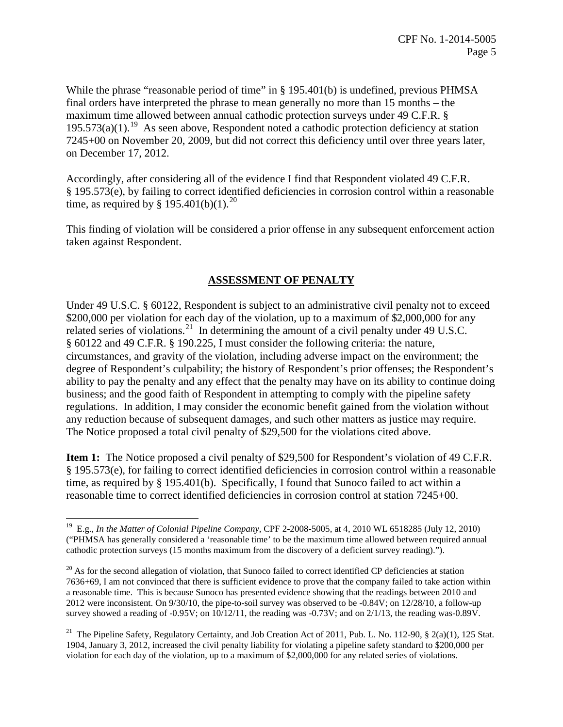While the phrase "reasonable period of time" in  $\S$  195.401(b) is undefined, previous PHMSA final orders have interpreted the phrase to mean generally no more than 15 months – the maximum time allowed between annual cathodic protection surveys under 49 C.F.R. §  $195.573(a)(1)$ .<sup>19</sup> As seen above, Respondent noted a cathodic protection deficiency at station 7245+00 on November 20, 2009, but did not correct this deficiency until over three years later, on December 17, 2012.

Accordingly, after considering all of the evidence I find that Respondent violated 49 C.F.R. § 195.573(e), by failing to correct identified deficiencies in corrosion control within a reasonable time, as required by  $\S$  195.401(b)(1).<sup>20</sup>

This finding of violation will be considered a prior offense in any subsequent enforcement action taken against Respondent.

# **ASSESSMENT OF PENALTY**

Under 49 U.S.C. § 60122, Respondent is subject to an administrative civil penalty not to exceed \$200,000 per violation for each day of the violation, up to a maximum of \$2,000,000 for any related series of violations.<sup>21</sup> In determining the amount of a civil penalty under 49 U.S.C. § 60122 and 49 C.F.R. § 190.225, I must consider the following criteria: the nature, circumstances, and gravity of the violation, including adverse impact on the environment; the degree of Respondent's culpability; the history of Respondent's prior offenses; the Respondent's ability to pay the penalty and any effect that the penalty may have on its ability to continue doing business; and the good faith of Respondent in attempting to comply with the pipeline safety regulations. In addition, I may consider the economic benefit gained from the violation without any reduction because of subsequent damages, and such other matters as justice may require. The Notice proposed a total civil penalty of \$29,500 for the violations cited above.

**Item 1:** The Notice proposed a civil penalty of \$29,500 for Respondent's violation of 49 C.F.R. § 195.573(e), for failing to correct identified deficiencies in corrosion control within a reasonable time, as required by § 195.401(b). Specifically, I found that Sunoco failed to act within a reasonable time to correct identified deficiencies in corrosion control at station 7245+00.

 $\overline{a}$ 

<sup>19</sup> E.g., *In the Matter of Colonial Pipeline Company*, CPF 2-2008-5005, at 4, 2010 WL 6518285 (July 12, 2010) ("PHMSA has generally considered a 'reasonable time' to be the maximum time allowed between required annual cathodic protection surveys (15 months maximum from the discovery of a deficient survey reading).").

 $20$  As for the second allegation of violation, that Sunoco failed to correct identified CP deficiencies at station 7636+69, I am not convinced that there is sufficient evidence to prove that the company failed to take action within a reasonable time. This is because Sunoco has presented evidence showing that the readings between 2010 and 2012 were inconsistent. On 9/30/10, the pipe-to-soil survey was observed to be -0.84V; on 12/28/10, a follow-up survey showed a reading of -0.95V; on 10/12/11, the reading was -0.73V; and on 2/1/13, the reading was-0.89V.

<sup>&</sup>lt;sup>21</sup> The Pipeline Safety, Regulatory Certainty, and Job Creation Act of 2011, Pub. L. No. 112-90, § 2(a)(1), 125 Stat. 1904, January 3, 2012, increased the civil penalty liability for violating a pipeline safety standard to \$200,000 per violation for each day of the violation, up to a maximum of \$2,000,000 for any related series of violations.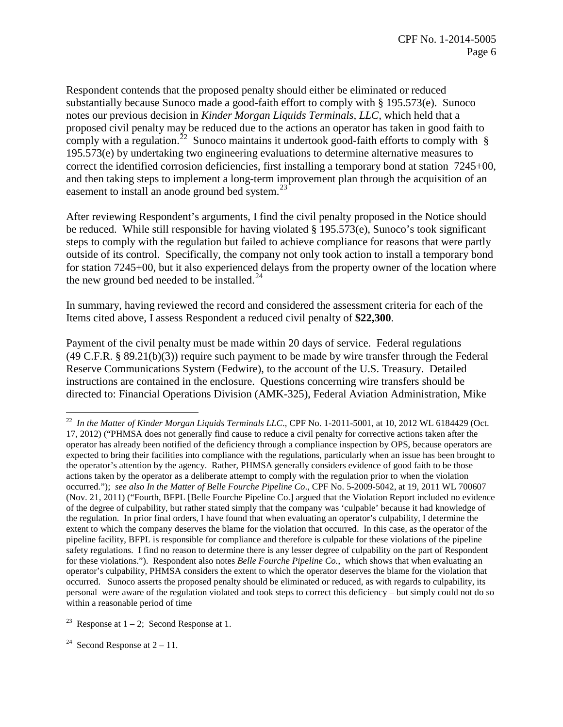Respondent contends that the proposed penalty should either be eliminated or reduced substantially because Sunoco made a good-faith effort to comply with § 195.573(e). Sunoco notes our previous decision in *Kinder Morgan Liquids Terminals, LLC,* which held that a proposed civil penalty may be reduced due to the actions an operator has taken in good faith to comply with a regulation.<sup>22</sup> Sunoco maintains it undertook good-faith efforts to comply with  $\S$ 195.573(e) by undertaking two engineering evaluations to determine alternative measures to correct the identified corrosion deficiencies, first installing a temporary bond at station 7245+00, and then taking steps to implement a long-term improvement plan through the acquisition of an easement to install an anode ground bed system. $^{23}$ 

After reviewing Respondent's arguments, I find the civil penalty proposed in the Notice should be reduced. While still responsible for having violated § 195.573(e), Sunoco's took significant steps to comply with the regulation but failed to achieve compliance for reasons that were partly outside of its control. Specifically, the company not only took action to install a temporary bond for station 7245+00, but it also experienced delays from the property owner of the location where the new ground bed needed to be installed. $^{24}$ 

In summary, having reviewed the record and considered the assessment criteria for each of the Items cited above, I assess Respondent a reduced civil penalty of **\$22,300**.

Payment of the civil penalty must be made within 20 days of service. Federal regulations (49 C.F.R. § 89.21(b)(3)) require such payment to be made by wire transfer through the Federal Reserve Communications System (Fedwire), to the account of the U.S. Treasury. Detailed instructions are contained in the enclosure. Questions concerning wire transfers should be directed to: Financial Operations Division (AMK-325), Federal Aviation Administration, Mike

<sup>23</sup> Response at  $1 - 2$ ; Second Response at 1.

<sup>24</sup> Second Response at  $2 - 11$ .

 $\overline{a}$ 

<sup>22</sup> *In the Matter of Kinder Morgan Liquids Terminals LLC*., CPF No. 1-2011-5001, at 10, 2012 WL 6184429 (Oct. 17, 2012) ("PHMSA does not generally find cause to reduce a civil penalty for corrective actions taken after the operator has already been notified of the deficiency through a compliance inspection by OPS, because operators are expected to bring their facilities into compliance with the regulations, particularly when an issue has been brought to the operator's attention by the agency. Rather, PHMSA generally considers evidence of good faith to be those actions taken by the operator as a deliberate attempt to comply with the regulation prior to when the violation occurred."); *see also In the Matter of Belle Fourche Pipeline Co*., CPF No. 5-2009-5042, at 19, 2011 WL 700607 (Nov. 21, 2011) ("Fourth, BFPL [Belle Fourche Pipeline Co.] argued that the Violation Report included no evidence of the degree of culpability, but rather stated simply that the company was 'culpable' because it had knowledge of the regulation. In prior final orders, I have found that when evaluating an operator's culpability, I determine the extent to which the company deserves the blame for the violation that occurred. In this case, as the operator of the pipeline facility, BFPL is responsible for compliance and therefore is culpable for these violations of the pipeline safety regulations. I find no reason to determine there is any lesser degree of culpability on the part of Respondent for these violations."). Respondent also notes *Belle Fourche Pipeline Co.*, which shows that when evaluating an operator's culpability, PHMSA considers the extent to which the operator deserves the blame for the violation that occurred. Sunoco asserts the proposed penalty should be eliminated or reduced, as with regards to culpability, its personal were aware of the regulation violated and took steps to correct this deficiency – but simply could not do so within a reasonable period of time